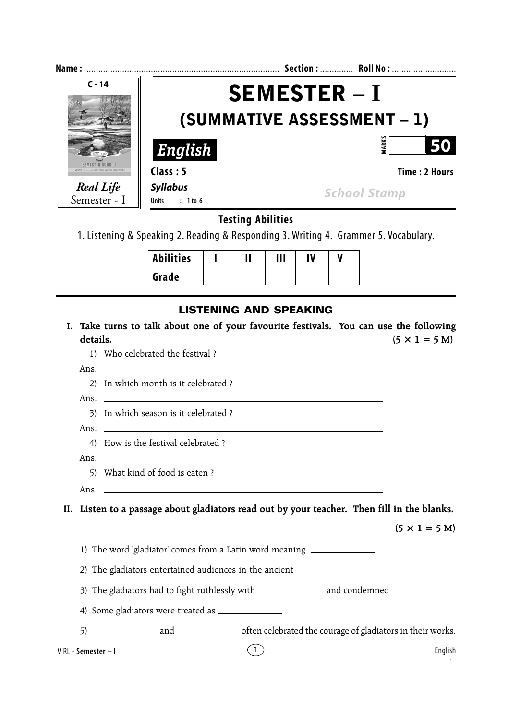| Name:                                                              |                                                   | Section:  Roll No:   |  |
|--------------------------------------------------------------------|---------------------------------------------------|----------------------|--|
| $C - 14$                                                           | <b>SEMESTER – I</b><br>(SUMMATIVE ASSESSMENT – 1) |                      |  |
|                                                                    | English                                           | ARK:<br>50           |  |
| <b>SEMESTER ROOK - 1</b><br>Mathematics . Science . Social Studies | Class: 5                                          | <b>Time: 2 Hours</b> |  |
| <b>Real Life</b><br>Semester - I                                   | <b>Syllabus</b><br>$: 1$ to 6<br><b>Units</b>     | <b>School Stamp</b>  |  |

# **Testing Abilities**

1. Listening & Speaking 2. Reading & Responding 3. Writing 4. Grammer 5. Vocabulary.

| <b>Abilities</b> |  | Ш | IV |  |
|------------------|--|---|----|--|
| Grade            |  |   |    |  |

### **LISTENING AND SPEAKING**

- **I. Take turns to talk about one of your favourite festivals. You can use the following** details.  $(5 \times 1 = 5 M)$ 
	- 1) Who celebrated the festival ?
	- 2) In which month is it celebrated ?
	- Ans.

Ans.

- 3) In which season is it celebrated ?
- Ans.
	- 4) How is the festival celebrated ?
- Ans.
	- 5) What kind of food is eaten ?
- Ans.

**II. Listen to a passage about gladiators read out by your teacher. Then fill in the blanks.**

 $(5 \times 1 = 5 \text{ M})$ 

1) The word 'gladiator' comes from a Latin word meaning

2) The gladiators entertained audiences in the ancient

- 3) The gladiators had to fight ruthlessly with and condemned
- 4) Some gladiators were treated as
- 5) and often celebrated the courage of gladiators in their works.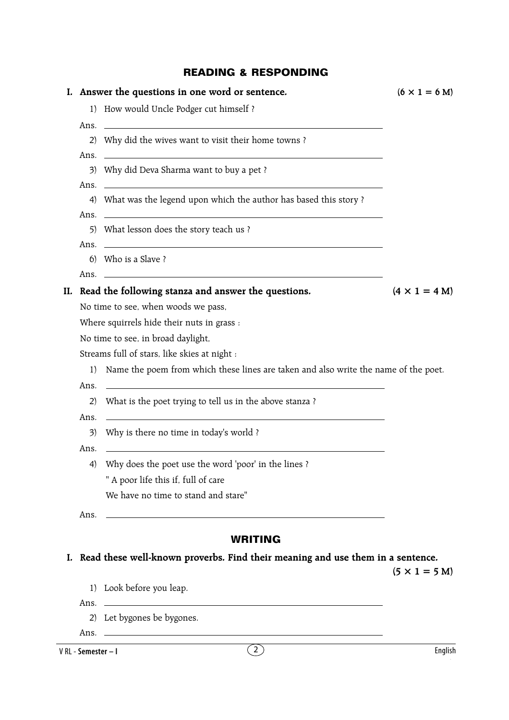## **READING & RESPONDING**

|    |                     | I. Answer the questions in one word or sentence.                                                                     | $(6 \times 1 = 6$ M) |
|----|---------------------|----------------------------------------------------------------------------------------------------------------------|----------------------|
|    |                     | 1) How would Uncle Podger cut himself ?                                                                              |                      |
|    |                     | Ans.                                                                                                                 |                      |
|    |                     | 2) Why did the wives want to visit their home towns?                                                                 |                      |
|    |                     |                                                                                                                      |                      |
|    |                     | 3) Why did Deva Sharma want to buy a pet?                                                                            |                      |
|    |                     | 4) What was the legend upon which the author has based this story?                                                   |                      |
|    |                     | Ans.                                                                                                                 |                      |
|    |                     | 5) What lesson does the story teach us?                                                                              |                      |
|    |                     | Ans. $\overline{\phantom{a}}$                                                                                        |                      |
|    |                     | 6) Who is a Slave?                                                                                                   |                      |
|    |                     |                                                                                                                      |                      |
|    |                     | II. Read the following stanza and answer the questions.                                                              | $(4 \times 1 = 4 M)$ |
|    |                     | No time to see, when woods we pass,                                                                                  |                      |
|    |                     | Where squirrels hide their nuts in grass :                                                                           |                      |
|    |                     | No time to see, in broad daylight,                                                                                   |                      |
|    |                     | Streams full of stars, like skies at night :                                                                         |                      |
|    | 1)                  | Name the poem from which these lines are taken and also write the name of the poet.                                  |                      |
|    | Ans.                | <u> 1989 - Johann Barn, fransk politik formuler (d. 1989)</u>                                                        |                      |
|    | 2)                  | What is the poet trying to tell us in the above stanza ?                                                             |                      |
|    | Ans.                | <u> 1989 - Johann Stein, synsk politik foar de oarnamme fan de oarnamme fan de oarnamme fan de oarnamme fan de o</u> |                      |
|    | 3)                  | Why is there no time in today's world?                                                                               |                      |
|    | Ans.                | and the control of the control of the control of the control of the control of the control of the control of the     |                      |
|    | 4)                  | Why does the poet use the word 'poor' in the lines?                                                                  |                      |
|    |                     | " A poor life this if, full of care                                                                                  |                      |
|    |                     | We have no time to stand and stare"                                                                                  |                      |
|    | Ans.                | <u> 1989 - Johann Barbara, martxa alemaniar amerikan basar da a</u>                                                  |                      |
|    |                     |                                                                                                                      |                      |
|    |                     | <b>WRITING</b>                                                                                                       |                      |
| Ι. |                     | Read these well-known proverbs. Find their meaning and use them in a sentence.                                       | $(5 \times 1 = 5 M)$ |
|    |                     | 1) Look before you leap.                                                                                             |                      |
|    |                     | Ans. $\overline{\phantom{a}}$                                                                                        |                      |
|    |                     | 2) Let bygones be bygones.                                                                                           |                      |
|    |                     | Ans.                                                                                                                 |                      |
|    | V RL - Semester - I | $\begin{pmatrix} 2 \end{pmatrix}$                                                                                    | English              |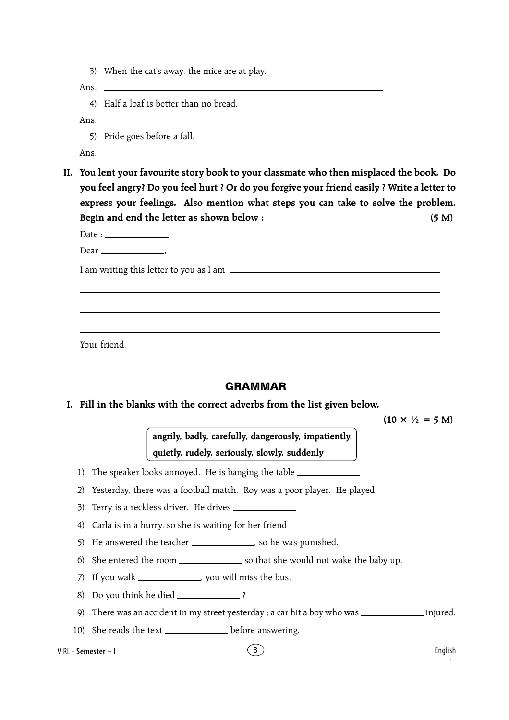3) When the cat's away, the mice are at play.

Ans.

4) Half a loaf is better than no bread.

Ans.

- 5) Pride goes before a fall.
- Ans.
- **II. You lent your favourite story book to your classmate who then misplaced the book. Do you feel angry? Do you feel hurt ? Or do you forgive your friend easily ? Write a letter to express your feelings. Also mention what steps you can take to solve the problem. Begin and end the letter as shown below : (5 M)**

Date : Dear ,

I am writing this letter to you as I am

Your friend,

### **GRAMMAR**

#### **I. Fill in the blanks with the correct adverbs from the list given below.**

 $(10 \times \frac{1}{2} = 5 \text{ M})$ 

**angrily, badly, carefully, dangerously, impatiently, quietly, rudely, seriously, slowly, suddenly**

1) The speaker looks annoyed. He is banging the table

2) Yesterday, there was a football match. Roy was a poor player. He played \_\_\_\_\_\_\_\_\_\_\_\_

- 3) Terry is a reckless driver. He drives
- 4) Carla is in a hurry, so she is waiting for her friend
- 5) He answered the teacher \_\_\_\_\_\_\_\_\_\_\_\_\_\_\_, so he was punished.
- 6) She entered the room so that she would not wake the baby up.
- 7) If you walk \_\_\_\_\_\_\_\_\_\_\_\_\_\_, you will miss the bus.
- 8) Do you think he died \_\_\_\_\_\_\_\_\_\_\_\_\_\_\_ ?
- 9) There was an accident in my street yesterday ; a car hit a boy who was \_\_\_\_\_\_\_\_\_\_\_\_\_\_\_\_\_ injured.
- 10) She reads the text \_\_\_\_\_\_\_\_\_\_\_\_\_\_ before answering.